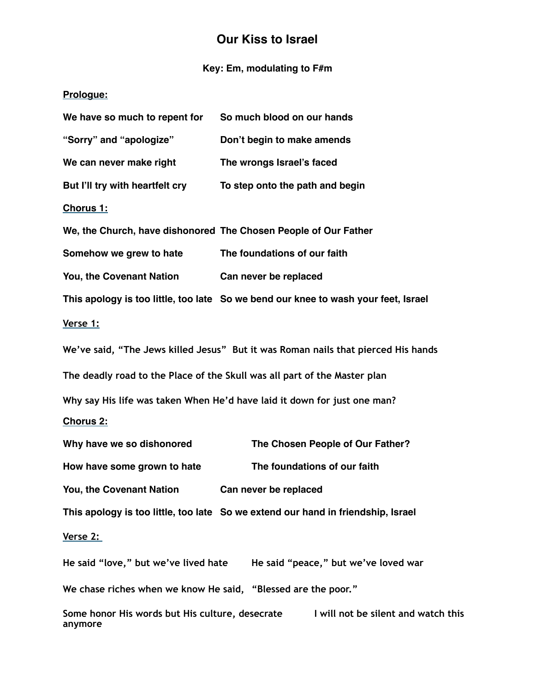# **Our Kiss to Israel**

## **Key: Em, modulating to F#m**

## **Prologue:**

| We have so much to repent for                                             | So much blood on our hands                                                         |  |
|---------------------------------------------------------------------------|------------------------------------------------------------------------------------|--|
| "Sorry" and "apologize"                                                   | Don't begin to make amends                                                         |  |
| We can never make right                                                   | The wrongs Israel's faced                                                          |  |
| But I'll try with heartfelt cry                                           | To step onto the path and begin                                                    |  |
| Chorus 1:                                                                 |                                                                                    |  |
|                                                                           | We, the Church, have dishonored The Chosen People of Our Father                    |  |
| Somehow we grew to hate                                                   | The foundations of our faith                                                       |  |
| You, the Covenant Nation                                                  | Can never be replaced                                                              |  |
|                                                                           | This apology is too little, too late So we bend our knee to wash your feet, Israel |  |
| Verse 1:                                                                  |                                                                                    |  |
|                                                                           | We've said, "The Jews killed Jesus" But it was Roman nails that pierced His hands  |  |
| The deadly road to the Place of the Skull was all part of the Master plan |                                                                                    |  |
| Why say His life was taken When He'd have laid it down for just one man?  |                                                                                    |  |
| <b>Chorus 2:</b>                                                          |                                                                                    |  |
| Why have we so dishonored                                                 | The Chosen People of Our Father?                                                   |  |
| How have some grown to hate                                               | The foundations of our faith                                                       |  |
| You, the Covenant Nation                                                  | Can never be replaced                                                              |  |
|                                                                           | This apology is too little, too late So we extend our hand in friendship, Israel   |  |
| Verse 2:                                                                  |                                                                                    |  |
|                                                                           | He said "love," but we've lived hate He said "peace," but we've loved war          |  |
| We chase riches when we know He said, "Blessed are the poor."             |                                                                                    |  |
|                                                                           | Same bener His words but His sulture, desecrate I will not be silent and water     |  |

Some honor His words but His culture, desecrate **I** will not be silent and watch this **anymore**